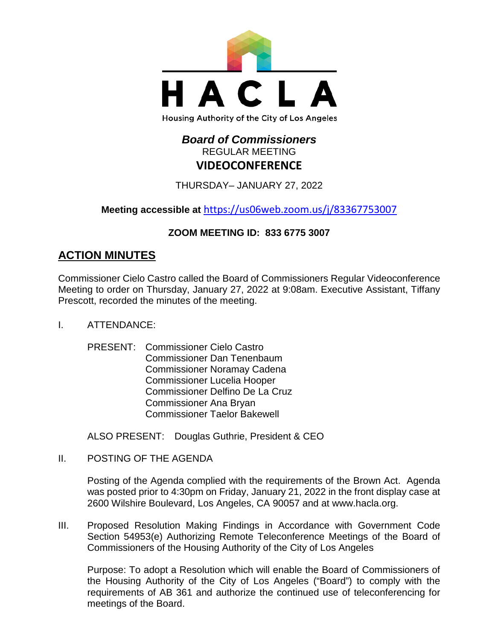

# *Board of Commissioners* REGULAR MEETING **VIDEOCONFERENCE**

THURSDAY– JANUARY 27, 2022

**Meeting accessible at** <https://us06web.zoom.us/j/83367753007>

# **ZOOM MEETING ID: 833 6775 3007**

# **ACTION MINUTES**

Commissioner Cielo Castro called the Board of Commissioners Regular Videoconference Meeting to order on Thursday, January 27, 2022 at 9:08am. Executive Assistant, Tiffany Prescott, recorded the minutes of the meeting.

- I. ATTENDANCE:
	- PRESENT: Commissioner Cielo Castro Commissioner Dan Tenenbaum Commissioner Noramay Cadena Commissioner Lucelia Hooper Commissioner Delfino De La Cruz Commissioner Ana Bryan Commissioner Taelor Bakewell

ALSO PRESENT: Douglas Guthrie, President & CEO

II. POSTING OF THE AGENDA

Posting of the Agenda complied with the requirements of the Brown Act. Agenda was posted prior to 4:30pm on Friday, January 21, 2022 in the front display case at 2600 Wilshire Boulevard, Los Angeles, CA 90057 and at [www.hacla.org.](http://www.hacla.org/)

III. Proposed Resolution Making Findings in Accordance with Government Code Section 54953(e) Authorizing Remote Teleconference Meetings of the Board of Commissioners of the Housing Authority of the City of Los Angeles

Purpose: To adopt a Resolution which will enable the Board of Commissioners of the Housing Authority of the City of Los Angeles ("Board") to comply with the requirements of AB 361 and authorize the continued use of teleconferencing for meetings of the Board.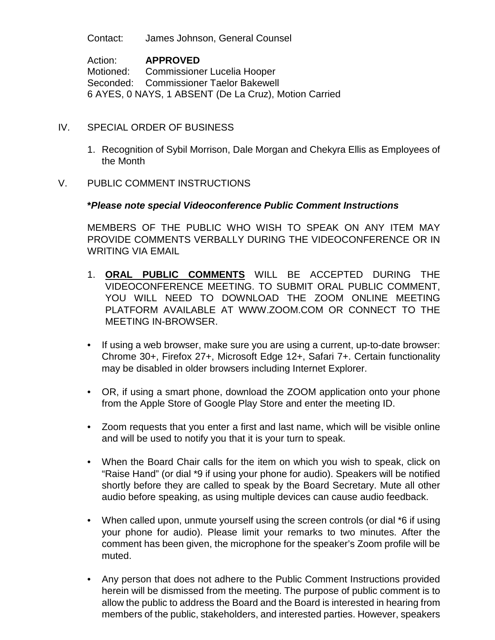Contact: James Johnson, General Counsel

Action: **APPROVED** Motioned: Commissioner Lucelia Hooper Seconded: Commissioner Taelor Bakewell 6 AYES, 0 NAYS, 1 ABSENT (De La Cruz), Motion Carried

#### IV. SPECIAL ORDER OF BUSINESS

- 1. Recognition of Sybil Morrison, Dale Morgan and Chekyra Ellis as Employees of the Month
- V. PUBLIC COMMENT INSTRUCTIONS

#### **\****Please note special Videoconference Public Comment Instructions*

MEMBERS OF THE PUBLIC WHO WISH TO SPEAK ON ANY ITEM MAY PROVIDE COMMENTS VERBALLY DURING THE VIDEOCONFERENCE OR IN WRITING VIA EMAIL

- 1. **ORAL PUBLIC COMMENTS** WILL BE ACCEPTED DURING THE VIDEOCONFERENCE MEETING. TO SUBMIT ORAL PUBLIC COMMENT, YOU WILL NEED TO DOWNLOAD THE ZOOM ONLINE MEETING PLATFORM AVAILABLE AT WWW.ZOOM.COM OR CONNECT TO THE MEETING IN-BROWSER.
- If using a web browser, make sure you are using a current, up-to-date browser: Chrome 30+, Firefox 27+, Microsoft Edge 12+, Safari 7+. Certain functionality may be disabled in older browsers including Internet Explorer.
- OR, if using a smart phone, download the ZOOM application onto your phone from the Apple Store of Google Play Store and enter the meeting ID.
- Zoom requests that you enter a first and last name, which will be visible online and will be used to notify you that it is your turn to speak.
- When the Board Chair calls for the item on which you wish to speak, click on "Raise Hand" (or dial \*9 if using your phone for audio). Speakers will be notified shortly before they are called to speak by the Board Secretary. Mute all other audio before speaking, as using multiple devices can cause audio feedback.
- When called upon, unmute yourself using the screen controls (or dial \*6 if using your phone for audio). Please limit your remarks to two minutes. After the comment has been given, the microphone for the speaker's Zoom profile will be muted.
- Any person that does not adhere to the Public Comment Instructions provided herein will be dismissed from the meeting. The purpose of public comment is to allow the public to address the Board and the Board is interested in hearing from members of the public, stakeholders, and interested parties. However, speakers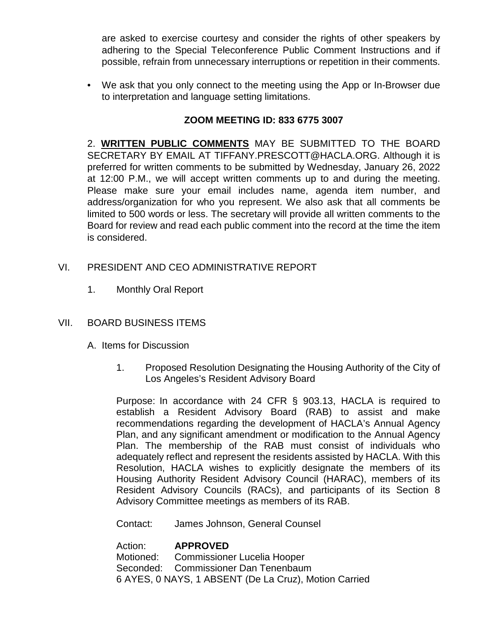are asked to exercise courtesy and consider the rights of other speakers by adhering to the Special Teleconference Public Comment Instructions and if possible, refrain from unnecessary interruptions or repetition in their comments.

• We ask that you only connect to the meeting using the App or In-Browser due to interpretation and language setting limitations.

## **ZOOM MEETING ID: 833 6775 3007**

2. **WRITTEN PUBLIC COMMENTS** MAY BE SUBMITTED TO THE BOARD SECRETARY BY EMAIL AT TIFFANY.PRESCOTT@HACLA.ORG. Although it is preferred for written comments to be submitted by Wednesday, January 26, 2022 at 12:00 P.M., we will accept written comments up to and during the meeting. Please make sure your email includes name, agenda item number, and address/organization for who you represent. We also ask that all comments be limited to 500 words or less. The secretary will provide all written comments to the Board for review and read each public comment into the record at the time the item is considered.

## VI. PRESIDENT AND CEO ADMINISTRATIVE REPORT

1. Monthly Oral Report

## VII. BOARD BUSINESS ITEMS

- A. Items for Discussion
	- 1. Proposed Resolution Designating the Housing Authority of the City of Los Angeles's Resident Advisory Board

Purpose: In accordance with 24 CFR § 903.13, HACLA is required to establish a Resident Advisory Board (RAB) to assist and make recommendations regarding the development of HACLA's Annual Agency Plan, and any significant amendment or modification to the Annual Agency Plan. The membership of the RAB must consist of individuals who adequately reflect and represent the residents assisted by HACLA. With this Resolution, HACLA wishes to explicitly designate the members of its Housing Authority Resident Advisory Council (HARAC), members of its Resident Advisory Councils (RACs), and participants of its Section 8 Advisory Committee meetings as members of its RAB.

Contact: James Johnson, General Counsel

Action: **APPROVED** Motioned: Commissioner Lucelia Hooper Seconded: Commissioner Dan Tenenbaum 6 AYES, 0 NAYS, 1 ABSENT (De La Cruz), Motion Carried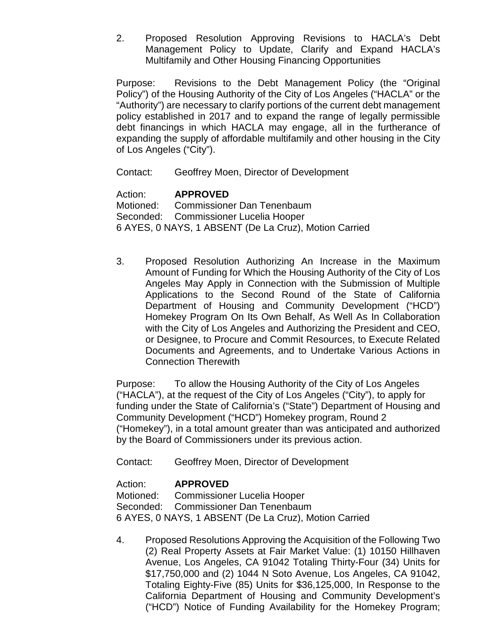2. Proposed Resolution Approving Revisions to HACLA's Debt Management Policy to Update, Clarify and Expand HACLA's Multifamily and Other Housing Financing Opportunities

Purpose: Revisions to the Debt Management Policy (the "Original Policy") of the Housing Authority of the City of Los Angeles ("HACLA" or the "Authority") are necessary to clarify portions of the current debt management policy established in 2017 and to expand the range of legally permissible debt financings in which HACLA may engage, all in the furtherance of expanding the supply of affordable multifamily and other housing in the City of Los Angeles ("City").

Contact: Geoffrey Moen, Director of Development

## Action: **APPROVED**

Motioned: Commissioner Dan Tenenbaum Seconded: Commissioner Lucelia Hooper 6 AYES, 0 NAYS, 1 ABSENT (De La Cruz), Motion Carried

3. Proposed Resolution Authorizing An Increase in the Maximum Amount of Funding for Which the Housing Authority of the City of Los Angeles May Apply in Connection with the Submission of Multiple Applications to the Second Round of the State of California Department of Housing and Community Development ("HCD") Homekey Program On Its Own Behalf, As Well As In Collaboration with the City of Los Angeles and Authorizing the President and CEO, or Designee, to Procure and Commit Resources, to Execute Related Documents and Agreements, and to Undertake Various Actions in Connection Therewith

Purpose: To allow the Housing Authority of the City of Los Angeles ("HACLA"), at the request of the City of Los Angeles ("City"), to apply for funding under the State of California's ("State") Department of Housing and Community Development ("HCD") Homekey program, Round 2 ("Homekey"), in a total amount greater than was anticipated and authorized by the Board of Commissioners under its previous action.

Contact: Geoffrey Moen, Director of Development

## Action: **APPROVED**

Motioned: Commissioner Lucelia Hooper Seconded: Commissioner Dan Tenenbaum 6 AYES, 0 NAYS, 1 ABSENT (De La Cruz), Motion Carried

4. Proposed Resolutions Approving the Acquisition of the Following Two (2) Real Property Assets at Fair Market Value: (1) 10150 Hillhaven Avenue, Los Angeles, CA 91042 Totaling Thirty-Four (34) Units for \$17,750,000 and (2) 1044 N Soto Avenue, Los Angeles, CA 91042, Totaling Eighty-Five (85) Units for \$36,125,000, In Response to the California Department of Housing and Community Development's ("HCD") Notice of Funding Availability for the Homekey Program;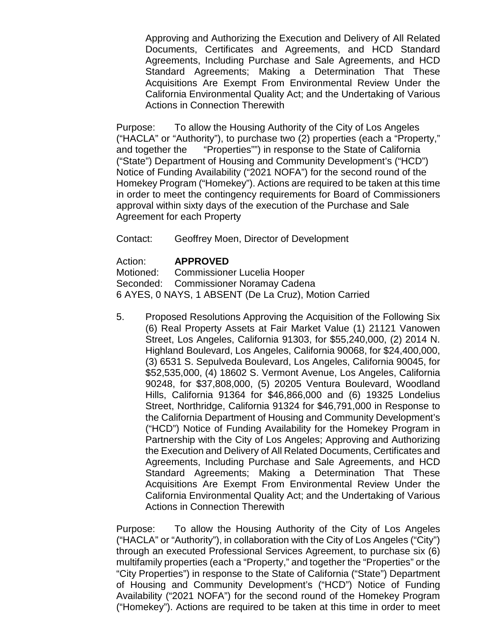Approving and Authorizing the Execution and Delivery of All Related Documents, Certificates and Agreements, and HCD Standard Agreements, Including Purchase and Sale Agreements, and HCD Standard Agreements; Making a Determination That These Acquisitions Are Exempt From Environmental Review Under the California Environmental Quality Act; and the Undertaking of Various Actions in Connection Therewith

Purpose: To allow the Housing Authority of the City of Los Angeles ("HACLA" or "Authority"), to purchase two (2) properties (each a "Property," and together the "Properties"") in response to the State of California ("State") Department of Housing and Community Development's ("HCD") Notice of Funding Availability ("2021 NOFA") for the second round of the Homekey Program ("Homekey"). Actions are required to be taken at this time in order to meet the contingency requirements for Board of Commissioners approval within sixty days of the execution of the Purchase and Sale Agreement for each Property

Contact: Geoffrey Moen, Director of Development

Action: **APPROVED**

Motioned: Commissioner Lucelia Hooper Seconded: Commissioner Noramay Cadena 6 AYES, 0 NAYS, 1 ABSENT (De La Cruz), Motion Carried

5. Proposed Resolutions Approving the Acquisition of the Following Six (6) Real Property Assets at Fair Market Value (1) 21121 Vanowen Street, Los Angeles, California 91303, for \$55,240,000, (2) 2014 N. Highland Boulevard, Los Angeles, California 90068, for \$24,400,000, (3) 6531 S. Sepulveda Boulevard, Los Angeles, California 90045, for \$52,535,000, (4) 18602 S. Vermont Avenue, Los Angeles, California 90248, for \$37,808,000, (5) 20205 Ventura Boulevard, Woodland Hills, California 91364 for \$46,866,000 and (6) 19325 Londelius Street, Northridge, California 91324 for \$46,791,000 in Response to the California Department of Housing and Community Development's ("HCD") Notice of Funding Availability for the Homekey Program in Partnership with the City of Los Angeles; Approving and Authorizing the Execution and Delivery of All Related Documents, Certificates and Agreements, Including Purchase and Sale Agreements, and HCD Standard Agreements; Making a Determination That These Acquisitions Are Exempt From Environmental Review Under the California Environmental Quality Act; and the Undertaking of Various Actions in Connection Therewith

Purpose: To allow the Housing Authority of the City of Los Angeles ("HACLA" or "Authority"), in collaboration with the City of Los Angeles ("City") through an executed Professional Services Agreement, to purchase six (6) multifamily properties (each a "Property," and together the "Properties" or the "City Properties") in response to the State of California ("State") Department of Housing and Community Development's ("HCD") Notice of Funding Availability ("2021 NOFA") for the second round of the Homekey Program ("Homekey"). Actions are required to be taken at this time in order to meet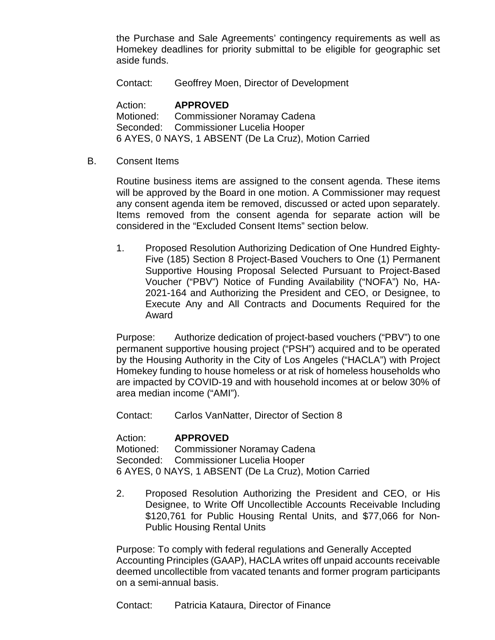the Purchase and Sale Agreements' contingency requirements as well as Homekey deadlines for priority submittal to be eligible for geographic set aside funds.

Contact: Geoffrey Moen, Director of Development

Action: **APPROVED** Motioned: Commissioner Noramay Cadena Seconded: Commissioner Lucelia Hooper 6 AYES, 0 NAYS, 1 ABSENT (De La Cruz), Motion Carried

B. Consent Items

Routine business items are assigned to the consent agenda. These items will be approved by the Board in one motion. A Commissioner may request any consent agenda item be removed, discussed or acted upon separately. Items removed from the consent agenda for separate action will be considered in the "Excluded Consent Items" section below.

1. Proposed Resolution Authorizing Dedication of One Hundred Eighty-Five (185) Section 8 Project-Based Vouchers to One (1) Permanent Supportive Housing Proposal Selected Pursuant to Project-Based Voucher ("PBV") Notice of Funding Availability ("NOFA") No, HA-2021-164 and Authorizing the President and CEO, or Designee, to Execute Any and All Contracts and Documents Required for the Award

Purpose: Authorize dedication of project-based vouchers ("PBV") to one permanent supportive housing project ("PSH") acquired and to be operated by the Housing Authority in the City of Los Angeles ("HACLA") with Project Homekey funding to house homeless or at risk of homeless households who are impacted by COVID-19 and with household incomes at or below 30% of area median income ("AMI").

Contact: Carlos VanNatter, Director of Section 8

Action: **APPROVED**

Motioned: Commissioner Noramay Cadena Seconded: Commissioner Lucelia Hooper 6 AYES, 0 NAYS, 1 ABSENT (De La Cruz), Motion Carried

2. Proposed Resolution Authorizing the President and CEO, or His Designee, to Write Off Uncollectible Accounts Receivable Including \$120,761 for Public Housing Rental Units, and \$77,066 for Non-Public Housing Rental Units

Purpose: To comply with federal regulations and Generally Accepted Accounting Principles (GAAP), HACLA writes off unpaid accounts receivable deemed uncollectible from vacated tenants and former program participants on a semi-annual basis.

Contact: Patricia Kataura, Director of Finance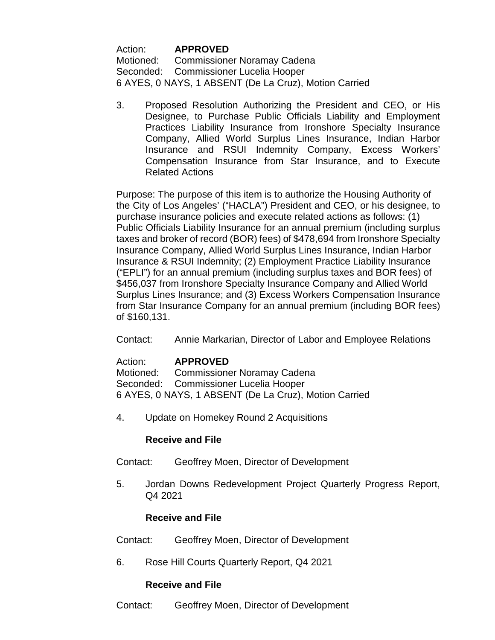Action: **APPROVED** Motioned: Commissioner Noramay Cadena Seconded: Commissioner Lucelia Hooper 6 AYES, 0 NAYS, 1 ABSENT (De La Cruz), Motion Carried

3. Proposed Resolution Authorizing the President and CEO, or His Designee, to Purchase Public Officials Liability and Employment Practices Liability Insurance from Ironshore Specialty Insurance Company, Allied World Surplus Lines Insurance, Indian Harbor Insurance and RSUI Indemnity Company, Excess Workers' Compensation Insurance from Star Insurance, and to Execute Related Actions

Purpose: The purpose of this item is to authorize the Housing Authority of the City of Los Angeles' ("HACLA") President and CEO, or his designee, to purchase insurance policies and execute related actions as follows: (1) Public Officials Liability Insurance for an annual premium (including surplus taxes and broker of record (BOR) fees) of \$478,694 from Ironshore Specialty Insurance Company, Allied World Surplus Lines Insurance, Indian Harbor Insurance & RSUI Indemnity; (2) Employment Practice Liability Insurance ("EPLI") for an annual premium (including surplus taxes and BOR fees) of \$456,037 from Ironshore Specialty Insurance Company and Allied World Surplus Lines Insurance; and (3) Excess Workers Compensation Insurance from Star Insurance Company for an annual premium (including BOR fees) of \$160,131.

Contact: Annie Markarian, Director of Labor and Employee Relations

## Action: **APPROVED** Motioned: Commissioner Noramay Cadena Seconded: Commissioner Lucelia Hooper 6 AYES, 0 NAYS, 1 ABSENT (De La Cruz), Motion Carried

4. Update on Homekey Round 2 Acquisitions

## **Receive and File**

- Contact: Geoffrey Moen, Director of Development
- 5. Jordan Downs Redevelopment Project Quarterly Progress Report, Q4 2021

## **Receive and File**

- Contact: Geoffrey Moen, Director of Development
- 6. Rose Hill Courts Quarterly Report, Q4 2021

## **Receive and File**

Contact: Geoffrey Moen, Director of Development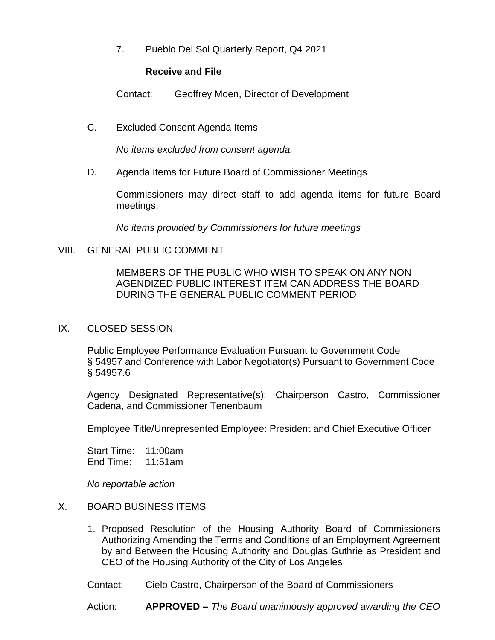7. Pueblo Del Sol Quarterly Report, Q4 2021

#### **Receive and File**

Contact: Geoffrey Moen, Director of Development

C. Excluded Consent Agenda Items

*No items excluded from consent agenda.*

D. Agenda Items for Future Board of Commissioner Meetings

Commissioners may direct staff to add agenda items for future Board meetings.

*No items provided by Commissioners for future meetings*

## VIII. GENERAL PUBLIC COMMENT

MEMBERS OF THE PUBLIC WHO WISH TO SPEAK ON ANY NON-AGENDIZED PUBLIC INTEREST ITEM CAN ADDRESS THE BOARD DURING THE GENERAL PUBLIC COMMENT PERIOD

## IX. CLOSED SESSION

Public Employee Performance Evaluation Pursuant to Government Code § 54957 and Conference with Labor Negotiator(s) Pursuant to Government Code § 54957.6

Agency Designated Representative(s): Chairperson Castro, Commissioner Cadena, and Commissioner Tenenbaum

Employee Title/Unrepresented Employee: President and Chief Executive Officer

Start Time: 11:00am End Time: 11:51am

*No reportable action*

## X. BOARD BUSINESS ITEMS

- 1. Proposed Resolution of the Housing Authority Board of Commissioners Authorizing Amending the Terms and Conditions of an Employment Agreement by and Between the Housing Authority and Douglas Guthrie as President and CEO of the Housing Authority of the City of Los Angeles
- Contact: Cielo Castro, Chairperson of the Board of Commissioners

Action: **APPROVED –** *The Board unanimously approved awarding the CEO*